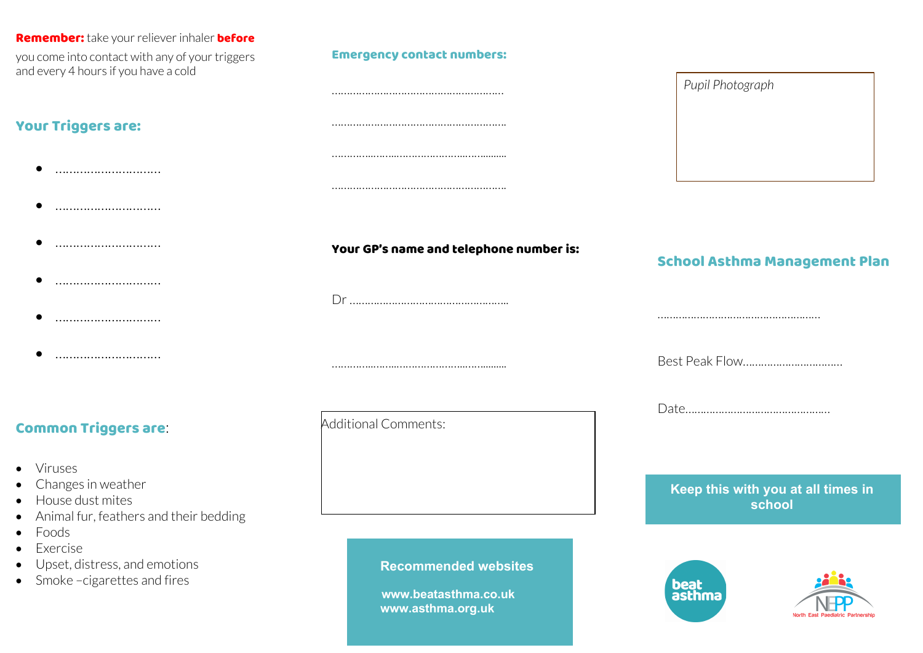#### Remember: take your reliever inhaler before

you come into contact with any of your triggers and every 4 hours if you have a cold

### Your Triggers are:

- …………………………
- …………………………
- …………………………………
- …………………………
- …………………………
- …………………………

### Common Triggers are:

- Viruses
- Changes in weather
- House dust mites
- Animal fur, feathers and their bedding
- Foods
- Exercise
- Upset, distress, and emotions
- Smoke –cigarettes and fires

### Emergency contact numbers:

## ………………………………………………… …………………………………………………. …………..……..…………………..……......... ………………………………………………….

Your GP's name and telephone number is:

Dr ……………………………………………..

…………..……..…………………..…….........

Additional Comments:

 **Recommended websites**

 **www.beatasthma.co.uk www.asthma.org.uk**

# *Pupil Photograph*

### School Asthma Management Plan

………………………………………………

Best Peak Flow……………………………

Date…………………………………………

### **Keep this with you at all times in school**